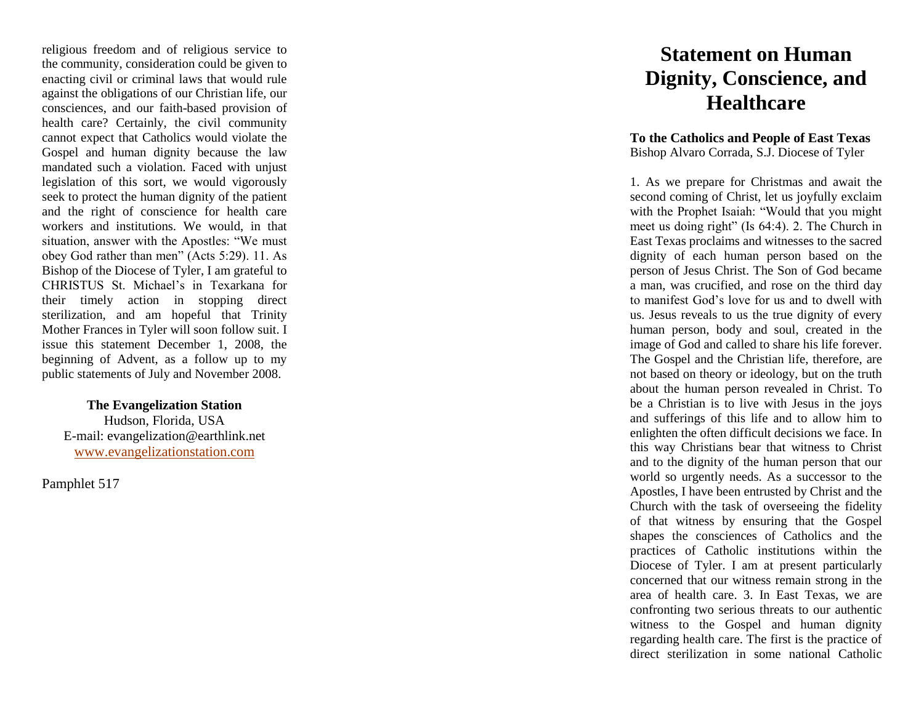religious freedom and of religious service to the community, consideration could be given to enacting civil or criminal laws that would rule against the obligations of our Christian life, our consciences, and our faith -based provision of health care? Certainly, the civil community cannot expect that Catholics would violate the Gospel and human dignity because the law mandated such a violation. Faced with unjust legislation of this sort, we would vigorously seek to protect the human dignity of the patient and the right of conscience for health care workers and institutions. We would, in that situation, answer with the Apostles: "We must obey God rather than men" (Acts 5:29). 11. As Bishop of the Diocese of Tyler, I am grateful to CHRISTUS St. Michael's in Texarkana for their timely action in stopping direct sterilization, and am hopeful that Trinity Mother Frances in Tyler will soon follow suit. I issue this statement December 1, 2008, the beginning of Advent, as a follow up to my public statements of July and November 2008.

**The Evangelization Station** Hudson, Florida, USA E -mail: evangelization@earthlink.net [www.evangelizationstation.com](http://www.pjpiisoe.org/)

Pamphlet 51 7

## **Statement on Human Dignity, Conscience, and Healthcare**

**To the Catholics and People of East Texas**  Bishop Alvaro Corrada, S.J. Diocese of Tyler

1. As we prepare for Christmas and await the second coming of Christ, let us joyfully exclaim with the Prophet Isaiah: "Would that you might meet us doing right" (Is 64:4). 2. The Church in East Texas proclaims and witnesses to the sacred dignity of each human person based on the person of Jesus Christ. The Son of God became a man, was crucified, and rose on the third day to manifest God's love for us and to dwell with us. Jesus reveals to us the true dignity of every human person, body and soul, created in the image of God and called to share his life forever. The Gospel and the Christian life, therefore, are not based on theory or ideology, but on the truth about the human person revealed in Christ. To be a Christian is to live with Jesus in the joys and sufferings of this life and to allow him to enlighten the often difficult decisions we face. In this way Christians bear that witness to Christ and to the dignity of the human person that our world so urgently needs. As a successor to the Apostles, I have been entrusted by Christ and the Church with the task of overseeing the fidelity of that witness by ensuring that the Gospel shapes the consciences of Catholics and the practices of Catholic institutions within the Diocese of Tyler. I am at present particularly concerned that our witness remain strong in the area of health care. 3. In East Texas, we are confronting two serious threats to our authentic witness to the Gospel and human dignity regarding health care. The first is the practice of direct sterilization in some national Catholic